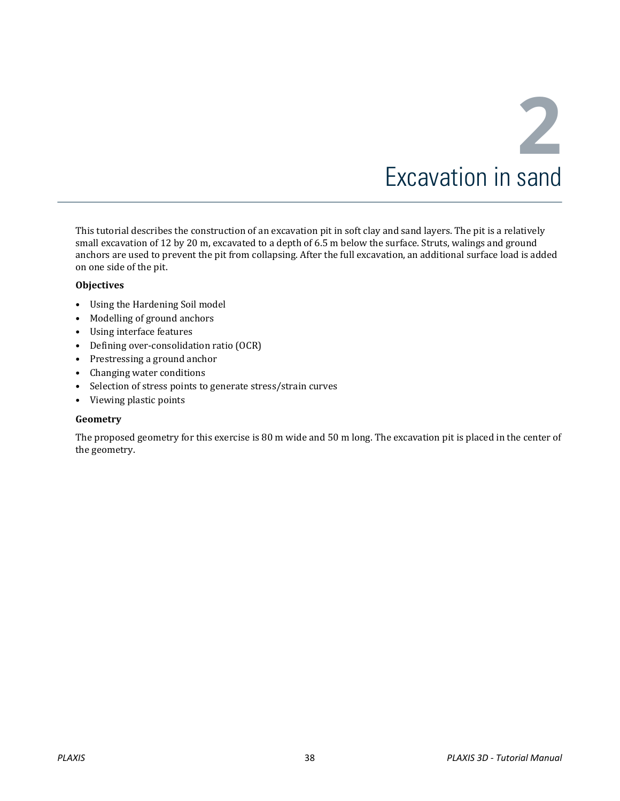This tutorial describes the construction of an excavation pit in soft clay and sand layers. The pit is a relatively small excavation of 12 by 20 m, excavated to a depth of 6.5 m below the surface. Struts, walings and ground anchors are used to prevent the pit from collapsing. After the full excavation, an additional surface load is added on one side of the pit.

#### **Objectives**

- Using the Hardening Soil model
- Modelling of ground anchors
- Using interface features
- Defining over-consolidation ratio (OCR)
- Prestressing a ground anchor
- Changing water conditions
- Selection of stress points to generate stress/strain curves
- Viewing plastic points

#### **Geometry**

The proposed geometry for this exercise is 80 m wide and 50 m long. The excavation pit is placed in the center of the geometry.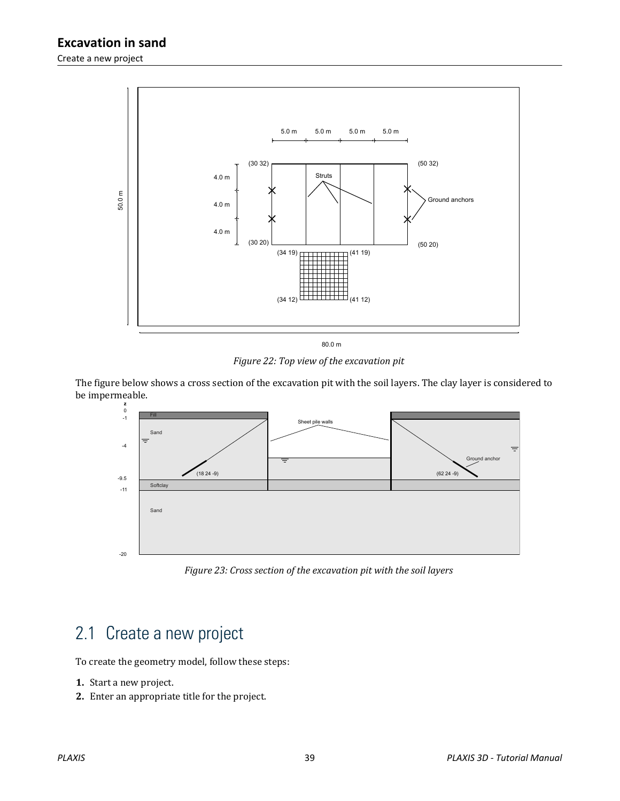

*Figure 22: Top view of the excavation pit*

The figure below shows a cross section of the excavation pit with the soil layers. The clay layer is considered to be impermeable.



*Figure 23: Cross section of the excavation pit with the soil layers*

# 2.1 Create a new project

To create the geometry model, follow these steps:

- **1.** Start a new project.
- **2.** Enter an appropriate title for the project.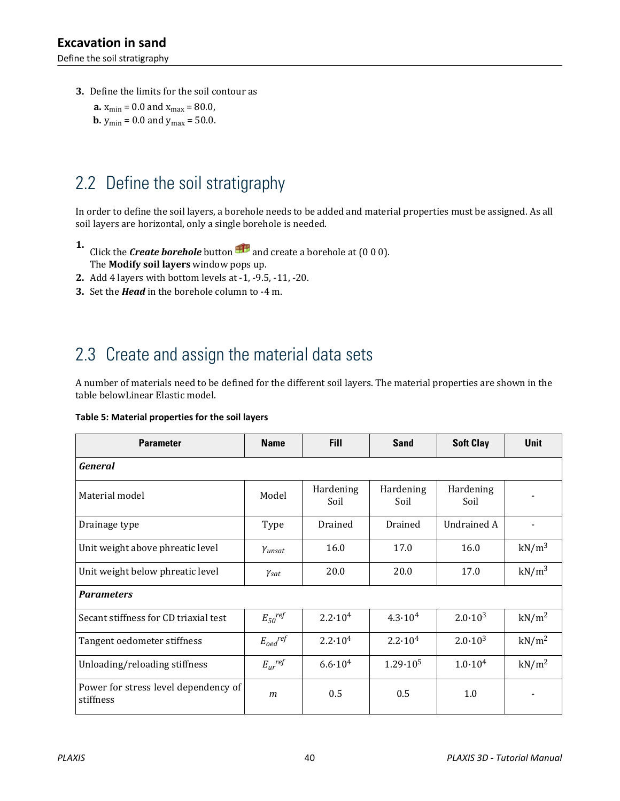Define the soil stratigraphy

- **3.** Define the limits for the soil contour as
	- **a.**  $x_{\text{min}} = 0.0$  and  $x_{\text{max}} = 80.0$ , **b.**  $y_{\text{min}} = 0.0$  and  $y_{\text{max}} = 50.0$ .

# 2.2 Define the soil stratigraphy

In order to define the soil layers, a borehole needs to be added and material properties must be assigned. As all soil layers are horizontal, only a single borehole is needed.

- **1.** Click the **Create borehole** button  $\mathbf{H}$  and create a borehole at (0 0 0). The **Modify soil layers** window pops up.
- **2.** Add 4 layers with bottom levels at -1, -9.5, -11, -20.
- **3.** Set the *Head* in the borehole column to -4 m.

# 2.3 Create and assign the material data sets

A number of materials need to be defined for the different soil layers. The material properties are shown in the table belowLinear Elastic model.

|  |  |  | Table 5: Material properties for the soil layers |  |  |
|--|--|--|--------------------------------------------------|--|--|
|--|--|--|--------------------------------------------------|--|--|

| <b>Parameter</b>                                  | <b>Name</b>                       | <b>Fill</b>        | <b>Sand</b>        | <b>Soft Clay</b>   | <b>Unit</b>       |
|---------------------------------------------------|-----------------------------------|--------------------|--------------------|--------------------|-------------------|
| General                                           |                                   |                    |                    |                    |                   |
| Material model                                    | Model                             | Hardening<br>Soil  | Hardening<br>Soil  | Hardening<br>Soil  |                   |
| Drainage type                                     | Type                              | Drained            | Drained            | <b>Undrained A</b> |                   |
| Unit weight above phreatic level                  | Yunsat                            | 16.0               | 17.0               | 16.0               | kN/m <sup>3</sup> |
| Unit weight below phreatic level                  | $\gamma_{\text sat}$              | 20.0               | 20.0               | 17.0               | kN/m <sup>3</sup> |
| <b>Parameters</b>                                 |                                   |                    |                    |                    |                   |
| Secant stiffness for CD triaxial test             | $E_{50}$ ref                      | $2.2 \cdot 10^{4}$ | $4.3 \cdot 10^{4}$ | $2.0 \cdot 10^{3}$ | kN/m <sup>2</sup> |
| Tangent oedometer stiffness                       | $E_{\textit{oed}}^{\textit{ref}}$ | $2.2 \cdot 10^{4}$ | $2.2 \cdot 10^{4}$ | $2.0 \cdot 10^{3}$ | kN/m <sup>2</sup> |
| Unloading/reloading stiffness                     | $E_{ur}$ <sup>ref</sup>           | $6.6 \cdot 10^{4}$ | $1.29 \cdot 10^5$  | $1.0 \cdot 10^{4}$ | kN/m <sup>2</sup> |
| Power for stress level dependency of<br>stiffness | $\mathfrak{m}$                    | 0.5                | 0.5                | 1.0                |                   |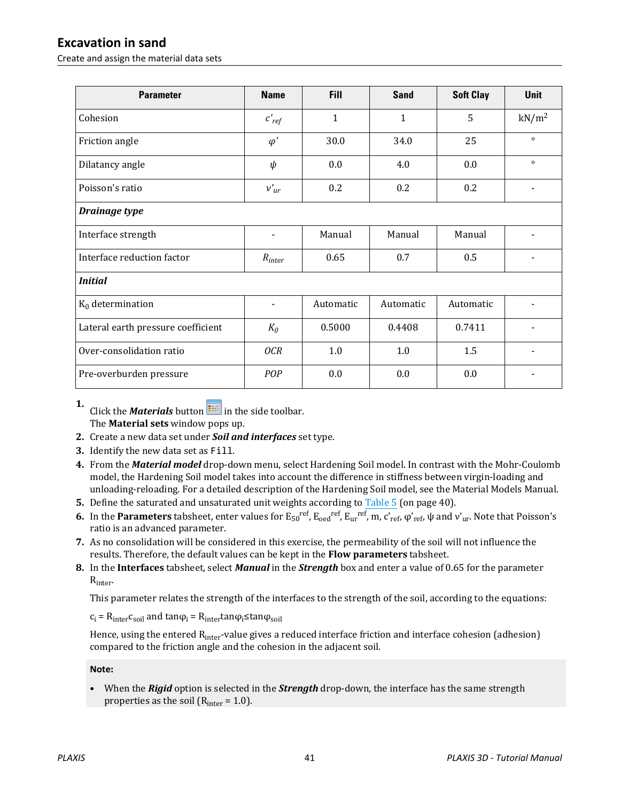Create and assign the material data sets

| <b>Parameter</b>                   | <b>Name</b>              | <b>Fill</b>  | <b>Sand</b>  | <b>Soft Clay</b> | <b>Unit</b>       |  |
|------------------------------------|--------------------------|--------------|--------------|------------------|-------------------|--|
| Cohesion                           | $c'_{ref}$               | $\mathbf{1}$ | $\mathbf{1}$ | 5                | kN/m <sup>2</sup> |  |
| Friction angle                     | $\varphi'$               | 30.0         | 34.0         | 25               | $\circ$           |  |
| Dilatancy angle                    | $\psi$                   | 0.0          | 4.0          | 0.0              | $\circ$           |  |
| Poisson's ratio                    | $v'_{ur}$                | 0.2          | 0.2          | 0.2              |                   |  |
| <b>Drainage type</b>               |                          |              |              |                  |                   |  |
| Interface strength                 | $\blacksquare$           | Manual       | Manual       | Manual           |                   |  |
| Interface reduction factor         | $R_{inter}$              | 0.65         | 0.7          | 0.5              | $\blacksquare$    |  |
| <b>Initial</b>                     |                          |              |              |                  |                   |  |
| $K_0$ determination                | $\overline{\phantom{a}}$ | Automatic    | Automatic    | Automatic        |                   |  |
| Lateral earth pressure coefficient | $K_0$                    | 0.5000       | 0.4408       | 0.7411           |                   |  |
| Over-consolidation ratio           | <b>OCR</b>               | $1.0\,$      | $1.0\,$      | 1.5              |                   |  |
| Pre-overburden pressure            | POP                      | 0.0          | 0.0          | 0.0              |                   |  |

**1.** Click the *Materials* button  $\mathbf{F}$  in the side toolbar. The **Material sets** window pops up.

- **2.** Create a new data set under *Soil and interfaces* set type.
- **3.** Identify the new data set as Fill.
- **4.** From the *Material model* drop-down menu, select Hardening Soil model. In contrast with the Mohr-Coulomb model, the Hardening Soil model takes into account the difference in stiffness between virgin-loading and unloading-reloading. For a detailed description of the Hardening Soil model, see the Material Models Manual.
- **5.** Define the saturated and unsaturated unit weights according to Table 5 (on page 40).
- **6.** In the **Parameters** tabsheet, enter values for  $E_{50}^{ref}$ ,  $E_{oed}^{ref}$ ,  $E_{ur}^{ref}$ ,  $m$ ,  $c'_{ref}$ ,  $\varphi'_{ref}$ ,  $\psi$  and  $v'_{ur}$ . Note that Poisson's ratio is an advanced parameter.
- **7.** As no consolidation will be considered in this exercise, the permeability of the soil will not influence the results. Therefore, the default values can be kept in the **Flow parameters** tabsheet.
- **8.** In the **Interfaces** tabsheet, select *Manual* in the *Strength* box and enter a value of 0.65 for the parameter Rinter.

This parameter relates the strength of the interfaces to the strength of the soil, according to the equations:

 $c_i = R_{inter}c_{soil}$  and tan $\varphi_i = R_{inter}tan\varphi_i$  stan $\varphi_{soil}$ 

Hence, using the entered R<sub>inter</sub>-value gives a reduced interface friction and interface cohesion (adhesion) compared to the friction angle and the cohesion in the adjacent soil.

**Note:**

• When the *Rigid* option is selected in the *Strength* drop-down, the interface has the same strength properties as the soil ( $R<sub>inter</sub> = 1.0$ ).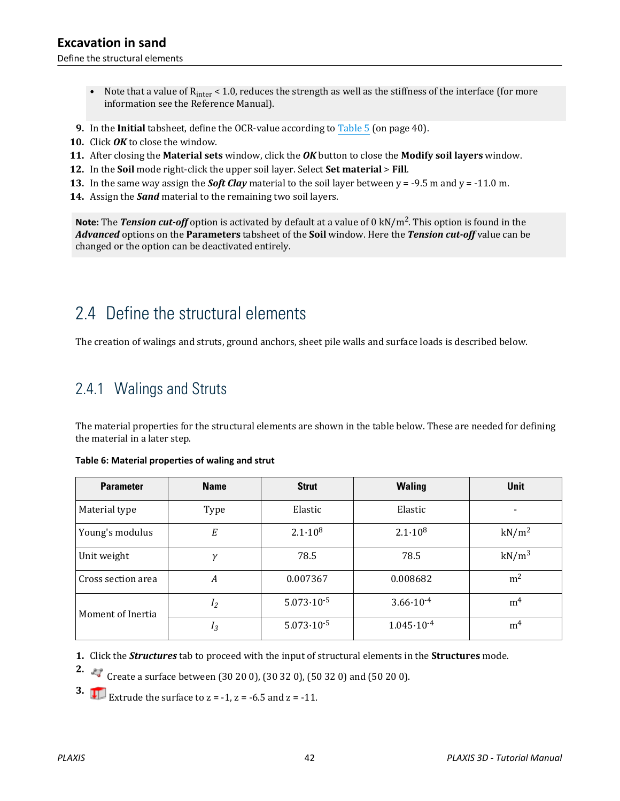Define the structural elements

- Note that a value of  $R<sub>inter</sub> < 1.0$ , reduces the strength as well as the stiffness of the interface (for more information see the Reference Manual).
- **9.** In the **Initial** tabsheet, define the OCR-value according to Table 5 (on page 40).
- **10.** Click *OK* to close the window.
- **11.** After closing the **Material sets** window, click the *OK* button to close the **Modify soil layers** window.
- **12.** In the **Soil** mode right-click the upper soil layer. Select **Set material** > **Fill**.
- **13.** In the same way assign the *Soft Clay* material to the soil layer between y = -9.5 m and y = -11.0 m.
- **14.** Assign the *Sand* material to the remaining two soil layers.

**Note:** The *Tension cut-off* option is activated by default at a value of 0 kN/m<sup>2</sup> . This option is found in the *Advanced* options on the **Parameters** tabsheet of the **Soil** window. Here the *Tension cut-off* value can be changed or the option can be deactivated entirely.

# 2.4 Define the structural elements

The creation of walings and struts, ground anchors, sheet pile walls and surface loads is described below.

#### 2.4.1 Walings and Struts

The material properties for the structural elements are shown in the table below. These are needed for defining the material in a later step.

| <b>Parameter</b>   | <b>Name</b>   | <b>Strut</b>          | <b>Waling</b>         | <b>Unit</b>       |
|--------------------|---------------|-----------------------|-----------------------|-------------------|
| Material type      | Type          | Elastic               | Elastic               |                   |
| Young's modulus    | Е             | $2.1 \cdot 10^8$      | $2.1 \cdot 10^8$      | kN/m <sup>2</sup> |
| Unit weight        | $\mathcal{U}$ | 78.5                  | 78.5                  | kN/m <sup>3</sup> |
| Cross section area | A             | 0.007367              | 0.008682              | m <sup>2</sup>    |
| Moment of Inertia  | $I_2$         | $5.073 \cdot 10^{-5}$ | $3.66 \cdot 10^{-4}$  | m <sup>4</sup>    |
|                    | $I_3$         | $5.073 \cdot 10^{-5}$ | $1.045 \cdot 10^{-4}$ | m <sup>4</sup>    |

#### **Table 6: Material properties of waling and strut**

**1.** Click the *Structures* tab to proceed with the input of structural elements in the **Structures** mode.

**2.**  $\leftrightarrow$  Create a surface between (30 20 0), (30 32 0), (50 32 0) and (50 20 0).

**3. Extrude the surface to**  $z = -1$ **,**  $z = -6.5$  **and**  $z = -11$ **.**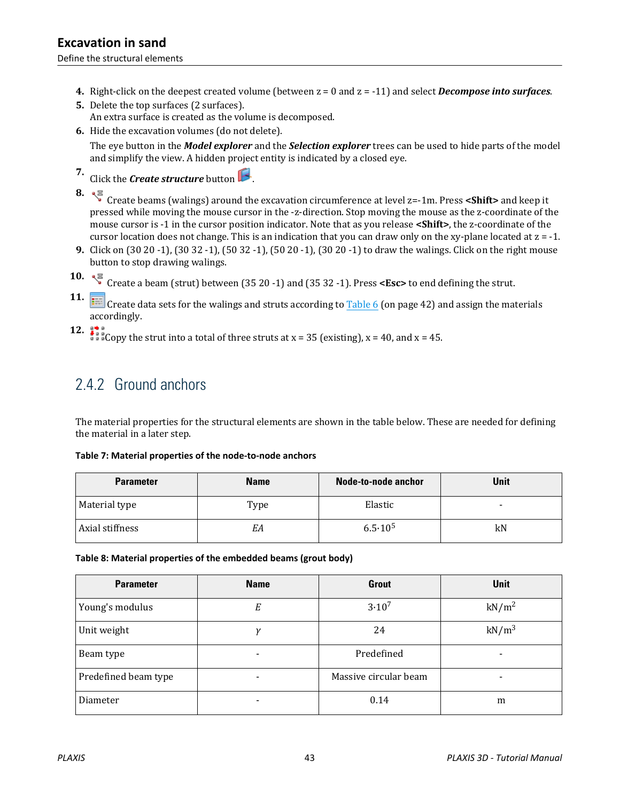Define the structural elements

- **4.** Right-click on the deepest created volume (between z = 0 and z = -11) and select *Decompose into surfaces*.
- **5.** Delete the top surfaces (2 surfaces). An extra surface is created as the volume is decomposed.
- **6.** Hide the excavation volumes (do not delete).

The eye button in the *Model explorer* and the *Selection explorer* trees can be used to hide parts of the model and simplify the view. A hidden project entity is indicated by a closed eye.

- **7.** Click the *Create structure* button .
- **8.**  $\sqrt{\frac{3}{5}}$  Create beams (walings) around the excavation circumference at level z=-1m. Press <**Shift>** and keep it pressed while moving the mouse cursor in the -z-direction. Stop moving the mouse as the z-coordinate of the mouse cursor is -1 in the cursor position indicator. Note that as you release **<Shift>**, the z-coordinate of the cursor location does not change. This is an indication that you can draw only on the xy-plane located at  $z = -1$ .
- **9.** Click on (30 20 -1), (30 32 -1), (50 32 -1), (50 20 -1), (30 20 -1) to draw the walings. Click on the right mouse button to stop drawing walings.
- 10. 《 Create a beam (strut) between (35 20 -1) and (35 32 -1). Press **<Esc>** to end defining the strut.

**11.** Create data sets for the walings and struts according to Table 6 (on page 42) and assign the materials accordingly.

**12.**  $\frac{1}{2}$   $\frac{1}{2}$  Copy the strut into a total of three struts at x = 35 (existing), x = 40, and x = 45.

# 2.4.2 Ground anchors

The material properties for the structural elements are shown in the table below. These are needed for defining the material in a later step.

| <b>Parameter</b> | <b>Name</b> | <b>Node-to-node anchor</b> | Unit |
|------------------|-------------|----------------------------|------|
| Material type    | Type        | Elastic                    | $\,$ |
| Axial stiffness  | EА          | $6.5 \cdot 10^5$           | kN   |

**Table 7: Material properties of the node-to-node anchors**

**Table 8: Material properties of the embedded beams (grout body)**

| <b>Parameter</b>     | <b>Name</b> | <b>Grout</b>          | Unit              |
|----------------------|-------------|-----------------------|-------------------|
| Young's modulus      | Е           | $3.10^{7}$            | kN/m <sup>2</sup> |
| Unit weight          | ν           | 24                    | $kN/m^3$          |
| Beam type            |             | Predefined            | -                 |
| Predefined beam type |             | Massive circular beam |                   |
| Diameter<br>-        |             | 0.14                  | m                 |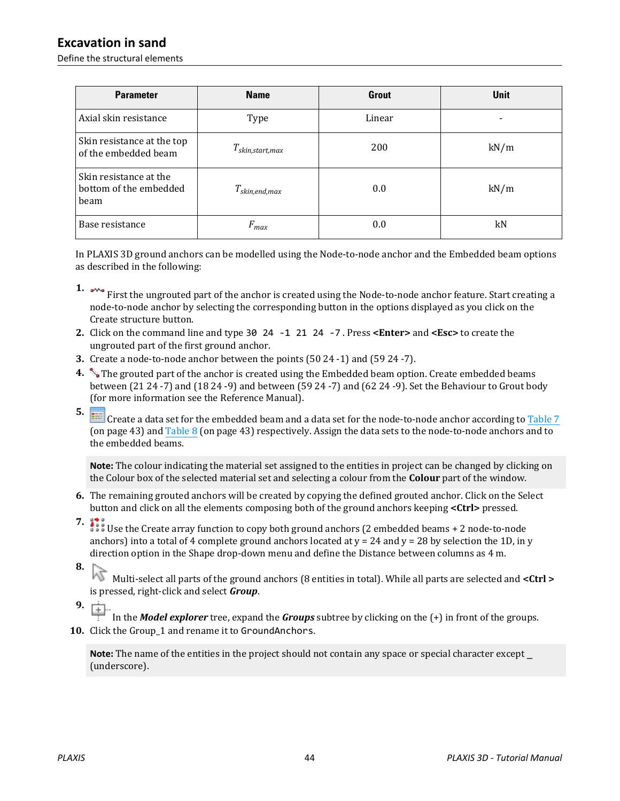Define the structural elements

| <b>Parameter</b>                                         | <b>Name</b>          | <b>Grout</b> | <b>Unit</b> |
|----------------------------------------------------------|----------------------|--------------|-------------|
| Axial skin resistance                                    | Type                 | Linear       |             |
| Skin resistance at the top<br>of the embedded beam       | $T_{skin,start,max}$ | 200          | kN/m        |
| Skin resistance at the<br>bottom of the embedded<br>beam | $T_{skin,end,max}$   | 0.0          | kN/m        |
| Base resistance                                          | $F_{max}$            | 0.0          | kN          |

In PLAXIS 3D ground anchors can be modelled using the Node-to-node anchor and the Embedded beam options as described in the following:

- **1.**  $\sim$  First the ungrouted part of the anchor is created using the Node-to-node anchor feature. Start creating a node-to-node anchor by selecting the corresponding button in the options displayed as you click on the Create structure button.
- **2.** Click on the command line and type 30 24 -1 21 24 -7 . Press **<Enter>** and **<Esc>** to create the ungrouted part of the first ground anchor.
- **3.** Create a node-to-node anchor between the points (50 24 -1) and (59 24 -7).
- **4.** The grouted part of the anchor is created using the Embedded beam option. Create embedded beams between (21 24 -7) and (18 24 -9) and between (59 24 -7) and (62 24 -9). Set the Behaviour to Grout body (for more information see the Reference Manual).
- **5.**

 Create a data set for the embedded beam and a data set for the node-to-node anchor according to Table 7 (on page 43) and Table 8 (on page 43) respectively. Assign the data sets to the node-to-node anchors and to the embedded beams.

**Note:** The colour indicating the material set assigned to the entities in project can be changed by clicking on the Colour box of the selected material set and selecting a colour from the **Colour** part of the window.

- **6.** The remaining grouted anchors will be created by copying the defined grouted anchor. Click on the Select button and click on all the elements composing both of the ground anchors keeping **<Ctrl>** pressed.
- 

**7. 12** Use the Create array function to copy both ground anchors (2 embedded beams + 2 node-to-node anchors) into a total of 4 complete ground anchors located at  $y = 24$  and  $y = 28$  by selection the 1D, in y direction option in the Shape drop-down menu and define the Distance between columns as 4 m.

**8.**

 Multi-select all parts of the ground anchors (8 entities in total). While all parts are selected and **<Ctrl >** is pressed, right-click and select *Group*.

**9.**

 In the *Model explorer* tree, expand the *Groups* subtree by clicking on the (+) in front of the groups. 10. Click the Group 1 and rename it to GroundAnchors.

**Note:** The name of the entities in the project should not contain any space or special character except \_ (underscore).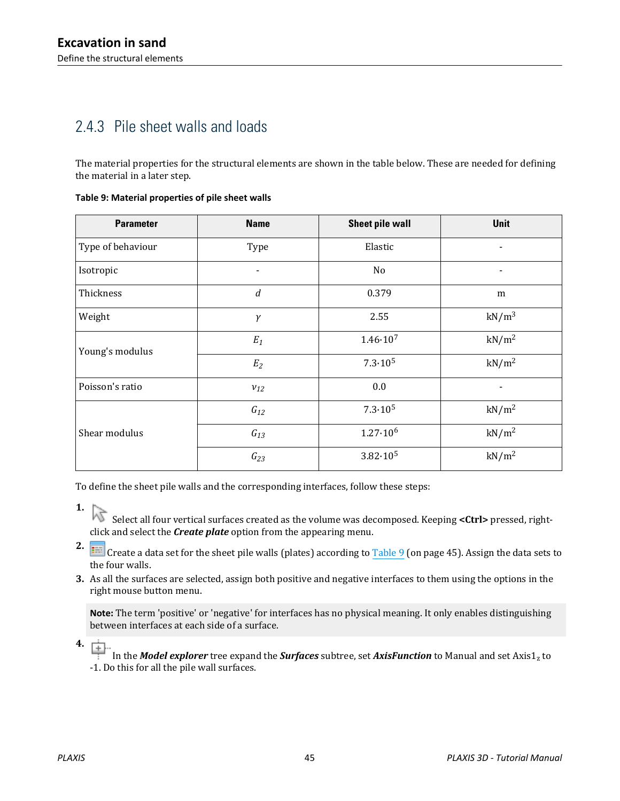# 2.4.3 Pile sheet walls and loads

The material properties for the structural elements are shown in the table below. These are needed for defining the material in a later step.

| <b>Parameter</b>  | <b>Name</b>      | <b>Sheet pile wall</b> | <b>Unit</b>                  |
|-------------------|------------------|------------------------|------------------------------|
| Type of behaviour | Type             | Elastic                |                              |
| Isotropic         |                  | No                     | $\qquad \qquad \blacksquare$ |
| Thickness         | $\boldsymbol{d}$ | 0.379                  | m                            |
| Weight            | $\gamma$         | 2.55                   | $kN/m^3$                     |
| Young's modulus   | $E_1$            | $1.46 \cdot 10^{7}$    | kN/m <sup>2</sup>            |
|                   | $\mathfrak{E}_2$ | $7.3 \cdot 10^5$       | kN/m <sup>2</sup>            |
| Poisson's ratio   | $v_{12}$         | 0.0                    |                              |
|                   | $G_{12}$         | $7.3 \cdot 10^5$       | kN/m <sup>2</sup>            |
| Shear modulus     | $G_{13}$         | $1.27 \cdot 10^6$      | kN/m <sup>2</sup>            |
|                   | $G_{23}$         | $3.82 \cdot 10^5$      | kN/m <sup>2</sup>            |

**Table 9: Material properties of pile sheet walls**

To define the sheet pile walls and the corresponding interfaces, follow these steps:

click and select the *Create plate* option from the appearing menu.

**2. If a** Create a data set for the sheet pile walls (plates) according to Table 9 (on page 45). Assign the data sets to the four walls.

**3.** As all the surfaces are selected, assign both positive and negative interfaces to them using the options in the right mouse button menu.

**Note:** The term 'positive' or 'negative' for interfaces has no physical meaning. It only enables distinguishing between interfaces at each side of a surface.

**4.**

In the *Model explorer* tree expand the *Surfaces* subtree, set *AxisFunction* to Manual and set Axis1<sub>z</sub> to -1. Do this for all the pile wall surfaces.

**<sup>1.</sup>** Select all four vertical surfaces created as the volume was decomposed. Keeping <Ctrl> pressed, right-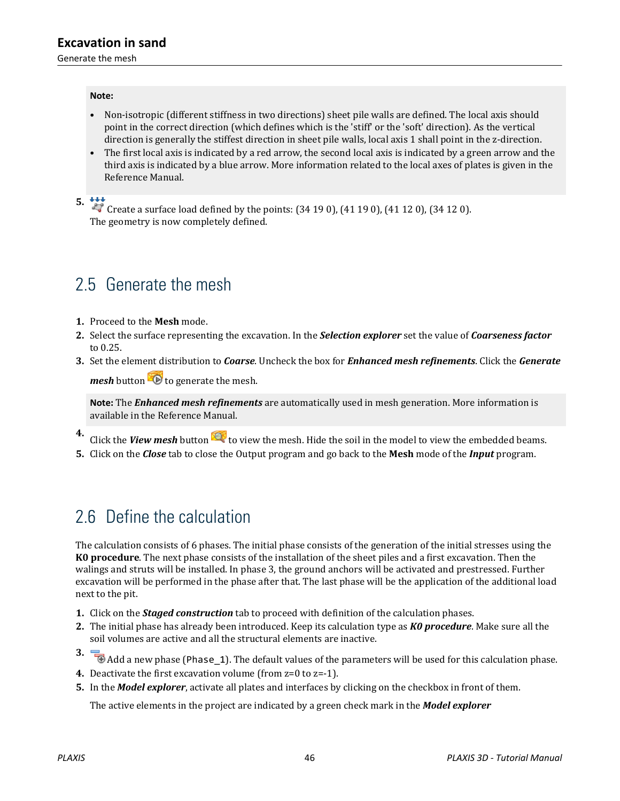Generate the mesh

#### **Note:**

- Non-isotropic (different stiffness in two directions) sheet pile walls are defined. The local axis should point in the correct direction (which defines which is the 'stiff' or the 'soft' direction). As the vertical direction is generally the stiffest direction in sheet pile walls, local axis 1 shall point in the z-direction.
- The first local axis is indicated by a red arrow, the second local axis is indicated by a green arrow and the third axis is indicated by a blue arrow. More information related to the local axes of plates is given in the Reference Manual.

**5.**  $\overset{\bullet}{\bullet}$  Create a surface load defined by the points: (34 19 0), (41 19 0), (41 12 0), (34 12 0). The geometry is now completely defined.

# 2.5 Generate the mesh

- **1.** Proceed to the **Mesh** mode.
- **2.** Select the surface representing the excavation. In the *Selection explorer* set the value of *Coarseness factor* to 0.25.
- **3.** Set the element distribution to *Coarse*. Uncheck the box for *Enhanced mesh refinements*. Click the *Generate mesh* button **the senarge of the mesh.**

**Note:** The *Enhanced mesh refinements* are automatically used in mesh generation. More information is

- available in the Reference Manual.
- **4.** Click the *View mesh* button **the view** to view the mesh. Hide the soil in the model to view the embedded beams.
- **5.** Click on the *Close* tab to close the Output program and go back to the **Mesh** mode of the *Input* program.

# 2.6 Define the calculation

The calculation consists of 6 phases. The initial phase consists of the generation of the initial stresses using the **K0 procedure**. The next phase consists of the installation of the sheet piles and a first excavation. Then the walings and struts will be installed. In phase 3, the ground anchors will be activated and prestressed. Further excavation will be performed in the phase after that. The last phase will be the application of the additional load next to the pit.

- **1.** Click on the *Staged construction* tab to proceed with definition of the calculation phases.
- **2.** The initial phase has already been introduced. Keep its calculation type as *K0 procedure*. Make sure all the soil volumes are active and all the structural elements are inactive.
- **3.**  $\Box$  Add a new phase (Phase\_1). The default values of the parameters will be used for this calculation phase.
- **4.** Deactivate the first excavation volume (from z=0 to z=-1).
- **5.** In the *Model explorer*, activate all plates and interfaces by clicking on the checkbox in front of them.

The active elements in the project are indicated by a green check mark in the *Model explorer*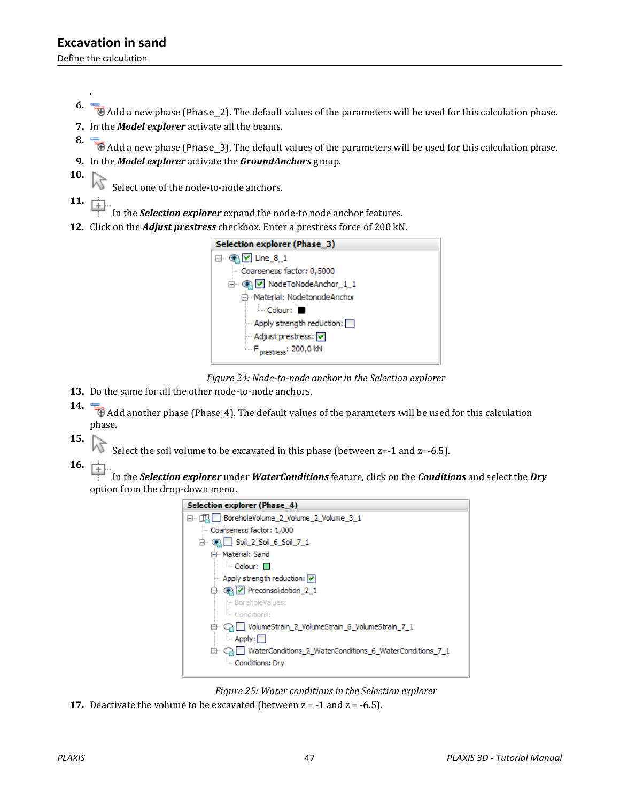Define the calculation

.

- **6.** Add a new phase (Phase\_2). The default values of the parameters will be used for this calculation phase. **7.** In the *Model explorer* activate all the beams.
- **8.**  $\overline{\bullet}$  Add a new phase (Phase\_3). The default values of the parameters will be used for this calculation phase.
- **9.** In the *Model explorer* activate the *GroundAnchors* group.
- **10.**

Select one of the node-to-node anchors.

**11.**

In the *Selection explorer* expand the node-to node anchor features.

**12.** Click on the *Adjust prestress* checkbox. Enter a prestress force of 200 kN.





- **13.** Do the same for all the other node-to-node anchors.
- **14.**  $\Box$  Add another phase (Phase\_4). The default values of the parameters will be used for this calculation phase.
- **15.**
- Select the soil volume to be excavated in this phase (between  $z=1$  and  $z=6.5$ ).
- **16.**

 In the *Selection explorer* under *WaterConditions* feature, click on the *Conditions* and select the *Dry* option from the drop-down menu.

| <b>Selection explorer (Phase 4)</b>                           |
|---------------------------------------------------------------|
| BoreholeVolume_2_Volume_2_Volume_3_1                          |
| Coarseness factor: 1,000                                      |
| $\Box$ Coil 2_Soil 6_Soil 7_1                                 |
| 白 <sub>"</sub> Material: Sand                                 |
| $\blacksquare$ Colour: $\square$                              |
| Apply strength reduction: $ \nabla $                          |
| □ ● V Preconsolidation 2 1                                    |
| - BoreholeValues:                                             |
| - Conditions:                                                 |
| VolumeStrain_2_VolumeStrain_6_VolumeStrain_7_1                |
| $\blacksquare$ Apply:                                         |
| WaterConditions_2_WaterConditions_6_WaterConditions_7_1<br>⊟… |
| Conditions: Dry                                               |
|                                                               |

*Figure 25: Water conditions in the Selection explorer*

**17.** Deactivate the volume to be excavated (between  $z = -1$  and  $z = -6.5$ ).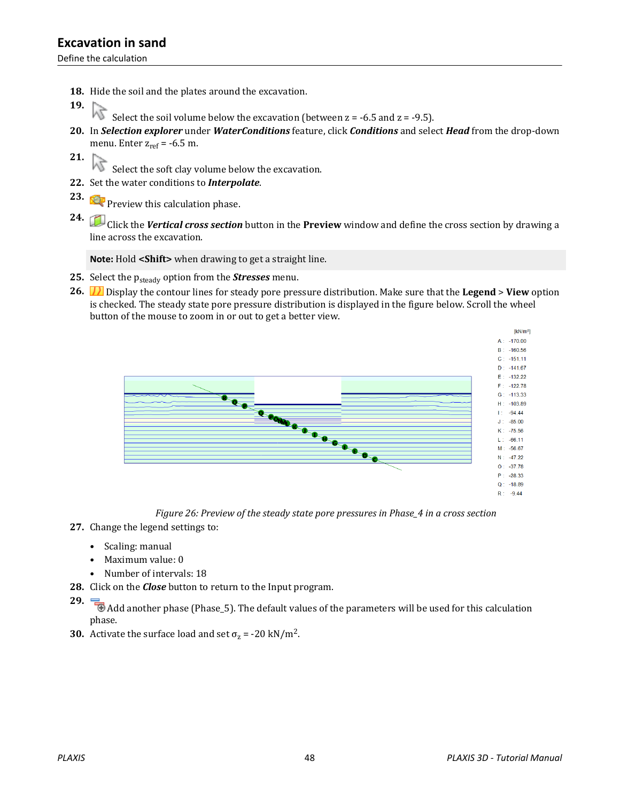Define the calculation

- **18.** Hide the soil and the plates around the excavation.
- **19.**
	- Æ Select the soil volume below the excavation (between  $z = -6.5$  and  $z = -9.5$ ).
- **20.** In *Selection explorer* under *WaterConditions* feature, click *Conditions* and select *Head* from the drop-down menu. Enter  $z_{ref} = -6.5$  m.
- **21.**

 $\widehat{S}$  Select the soft clay volume below the excavation.

- **22.** Set the water conditions to *Interpolate*.
- **23. Preview this calculation phase.**

**24.** Click the *Vertical cross section* button in the **Preview** window and define the cross section by drawing a line across the excavation.

**Note:** Hold **<Shift>** when drawing to get a straight line.

- 25. Select the p<sub>steady</sub> option from the **Stresses** menu.
- **26.** Display the contour lines for steady pore pressure distribution. Make sure that the **Legend** > **View** option is checked. The steady state pore pressure distribution is displayed in the figure below. Scroll the wheel button of the mouse to zoom in or out to get a better view.



*Figure 26: Preview of the steady state pore pressures in Phase\_4 in a cross section*

- **27.** Change the legend settings to:
	- Scaling: manual
	- Maximum value: 0
	- Number of intervals: 18
- **28.** Click on the *Close* button to return to the Input program.
- **29.** Add another phase (Phase\_5). The default values of the parameters will be used for this calculation phase.
- **30.** Activate the surface load and set  $\sigma_z$  = -20 kN/m<sup>2</sup>.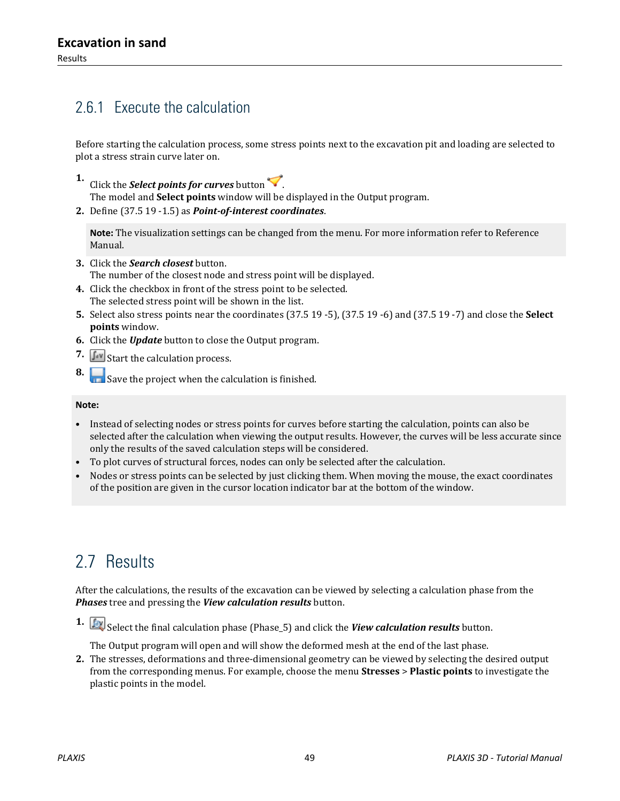# 2.6.1 Execute the calculation

Before starting the calculation process, some stress points next to the excavation pit and loading are selected to plot a stress strain curve later on.

- **1.** Click the *Select points for curves* button
- The model and **Select points** window will be displayed in the Output program.
- **2.** Define (37.5 19 -1.5) as *Point-of-interest coordinates*.

**Note:** The visualization settings can be changed from the menu. For more information refer to Reference Manual.

- **3.** Click the *Search closest* button. The number of the closest node and stress point will be displayed.
- **4.** Click the checkbox in front of the stress point to be selected. The selected stress point will be shown in the list.
- **5.** Select also stress points near the coordinates (37.5 19 -5), (37.5 19 -6) and (37.5 19 -7) and close the **Select points** window.
- **6.** Click the *Update* button to close the Output program.
- **7.**  $\int_{a}^{b}$  Start the calculation process.
- **8.** Save the project when the calculation is finished.

#### **Note:**

- Instead of selecting nodes or stress points for curves before starting the calculation, points can also be selected after the calculation when viewing the output results. However, the curves will be less accurate since only the results of the saved calculation steps will be considered.
- To plot curves of structural forces, nodes can only be selected after the calculation.
- Nodes or stress points can be selected by just clicking them. When moving the mouse, the exact coordinates of the position are given in the cursor location indicator bar at the bottom of the window.

# 2.7 Results

After the calculations, the results of the excavation can be viewed by selecting a calculation phase from the *Phases* tree and pressing the *View calculation results* button.

**1.** Select the final calculation phase (Phase\_5) and click the *View calculation results* button.

The Output program will open and will show the deformed mesh at the end of the last phase.

**2.** The stresses, deformations and three-dimensional geometry can be viewed by selecting the desired output from the corresponding menus. For example, choose the menu **Stresses** > **Plastic points** to investigate the plastic points in the model.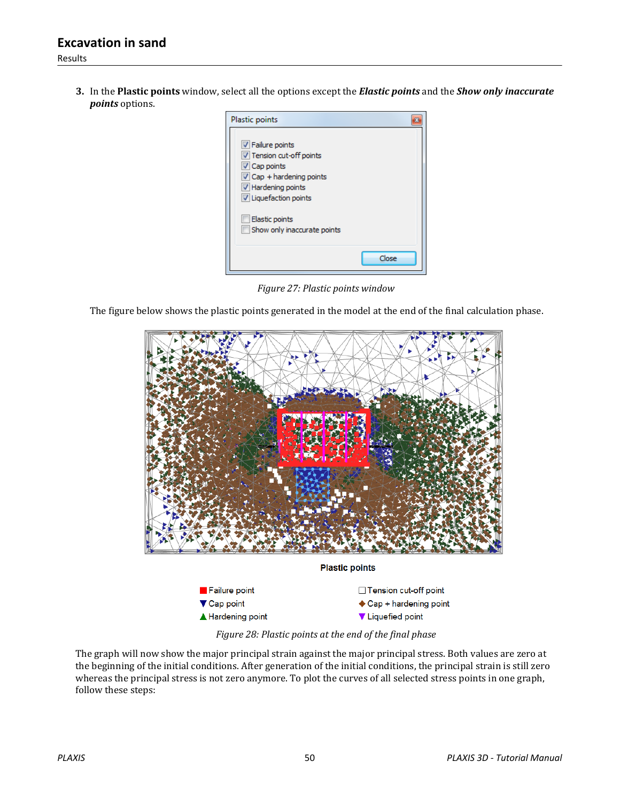**3.** In the **Plastic points** window, select all the options except the *Elastic points* and the *Show only inaccurate points* options.

| Plastic points                                                                                                                                      |       |
|-----------------------------------------------------------------------------------------------------------------------------------------------------|-------|
| Failure points<br>V Tension cut-off points<br>√ Cap points<br>$\triangledown$ Cap + hardening points<br>V Hardening points<br>U Liquefaction points |       |
| Elastic points<br>Show only inaccurate points                                                                                                       |       |
|                                                                                                                                                     | Close |

*Figure 27: Plastic points window*

The figure below shows the plastic points generated in the model at the end of the final calculation phase.



*Figure 28: Plastic points at the end of the final phase*

The graph will now show the major principal strain against the major principal stress. Both values are zero at the beginning of the initial conditions. After generation of the initial conditions, the principal strain is still zero whereas the principal stress is not zero anymore. To plot the curves of all selected stress points in one graph, follow these steps: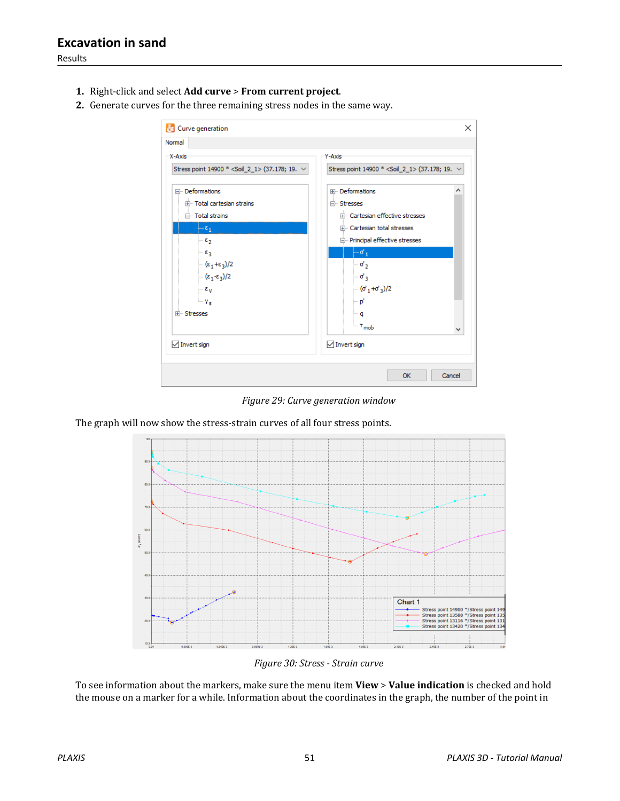Results

- **1.** Right-click and select **Add curve** > **From current project**.
- **2.** Generate curves for the three remaining stress nodes in the same way.



*Figure 29: Curve generation window*

The graph will now show the stress-strain curves of all four stress points.



*Figure 30: Stress - Strain curve*

To see information about the markers, make sure the menu item **View** > **Value indication** is checked and hold the mouse on a marker for a while. Information about the coordinates in the graph, the number of the point in